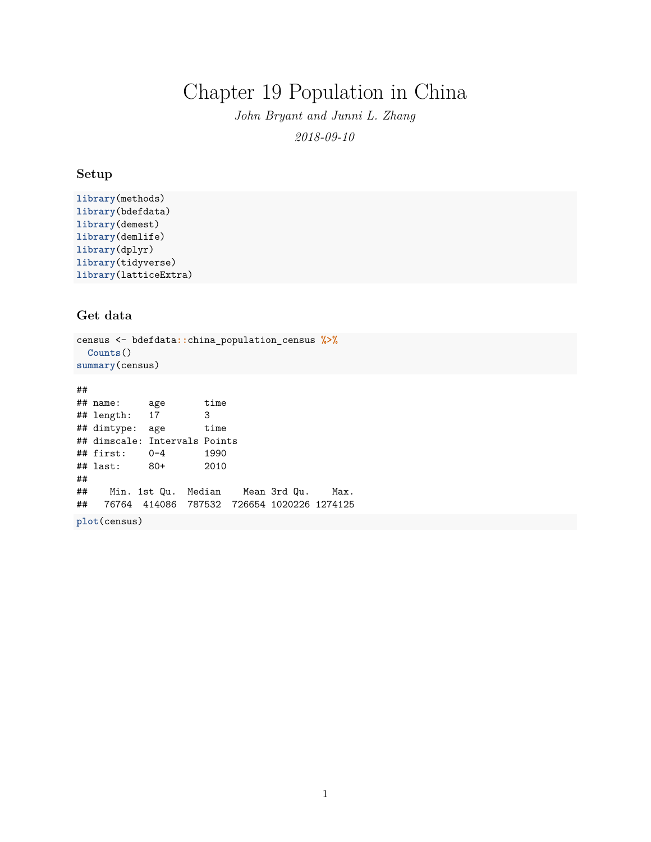# Chapter 19 Population in China

*John Bryant and Junni L. Zhang 2018-09-10*

#### **Setup**

```
library(methods)
library(bdefdata)
library(demest)
library(demlife)
library(dplyr)
library(tidyverse)
library(latticeExtra)
```
### **Get data**

```
census <- bdefdata::china_population_census %>%
  Counts()
summary(census)
```
## ## name: age time ## length: 17 3 ## dimtype: age time ## dimscale: Intervals Points  $\#$ # first:  $0-4$ ## last: 80+ 2010 ## ## Min. 1st Qu. Median Mean 3rd Qu. Max. ## 76764 414086 787532 726654 1020226 1274125 **plot**(census)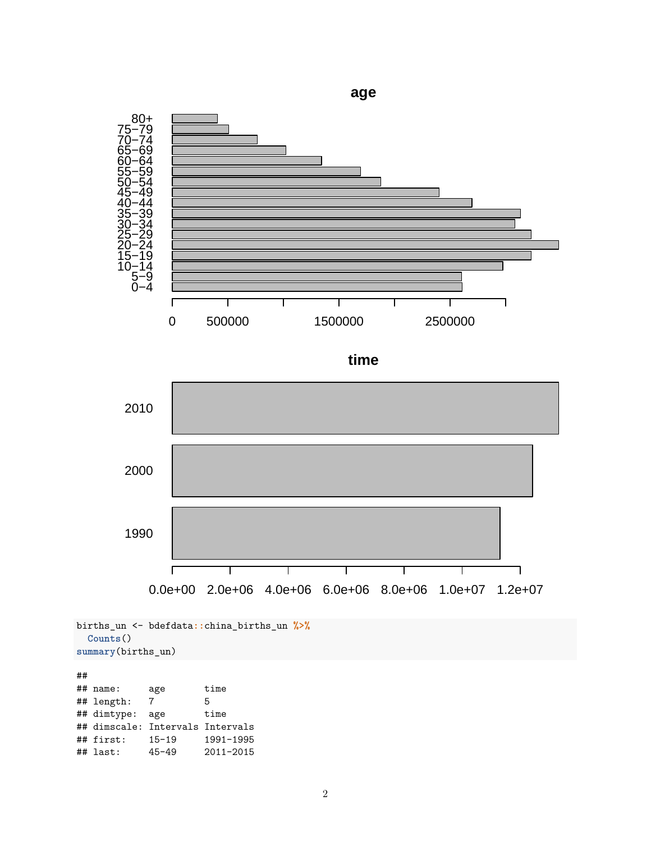

```
births_un <- bdefdata::china_births_un %>%
  Counts()
summary(births_un)
```
## ## name: age time ## length: 7 5 ## dimtype: age time ## dimscale: Intervals Intervals ## first: 15-19 1991-1995 ## last: 45-49 2011-2015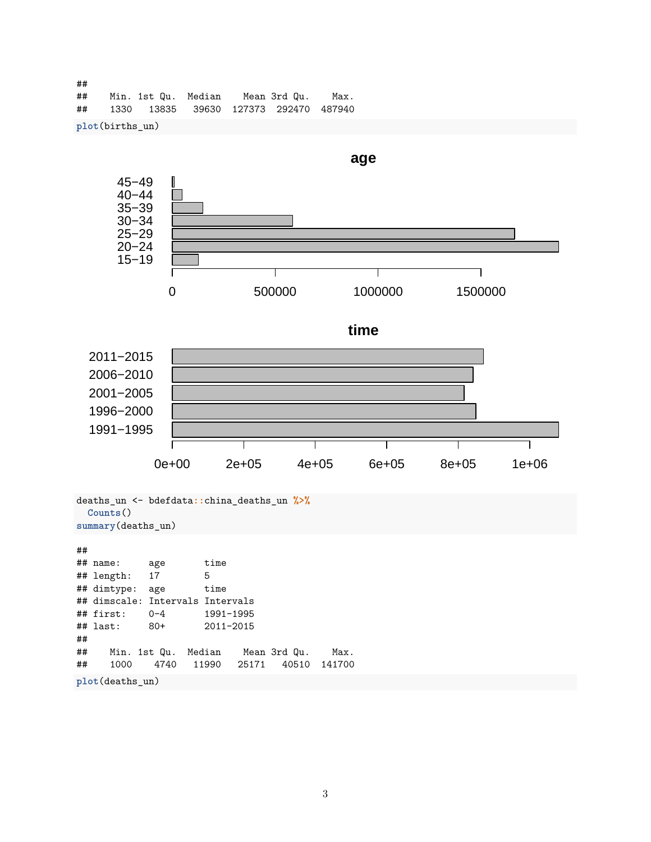## ## Min. 1st Qu. Median Mean 3rd Qu. Max. ## 1330 13835 39630 127373 292470 487940

**plot**(births\_un)



## ## name: age time ## length: 17 5 ## dimtype: age time ## dimscale: Intervals Intervals ## first: 0-4 1991-1995 ## last: 80+ 2011-2015 ## ## Min. 1st Qu. Median Mean 3rd Qu. Max. ## 1000 4740 11990 25171 40510 141700 **plot**(deaths\_un)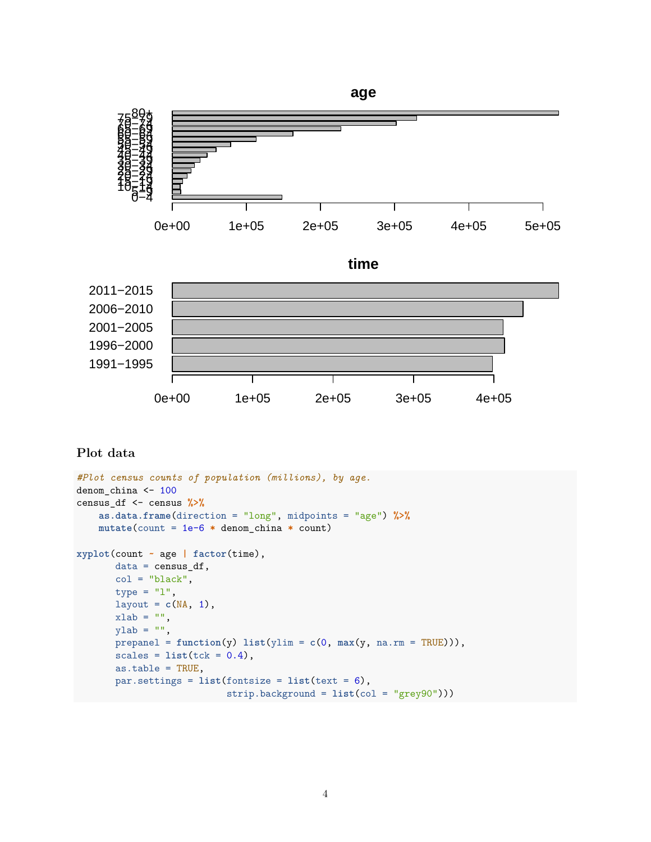

```
Plot data
```

```
#Plot census counts of population (millions), by age.
denom_china <- 100
census_df <- census %>%
    as.data.frame(direction = "long", midpoints = "age") %>%
    mutate(count = 1e-6 * denom_china * count)
xyplot(count ~ age | factor(time),
       data = census_df,
       col = "black",type = "1",
       layout = c(NA, 1),
       xlab = "",
       ylab = "",
       prepanel = function(y) list(ylim = c(0, max(y, na.rm = TRUE))),
       scales = list(tck = 0.4),as.table = TRUE,
       par.settings = list(fontsize = list(text = 6),strip.background = list(col = "grey90")))
```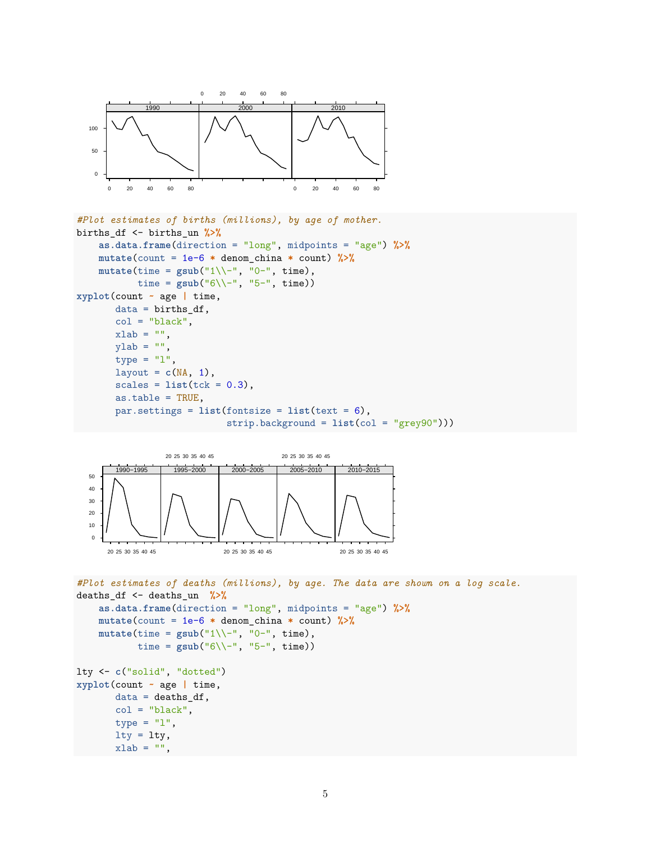

```
#Plot estimates of births (millions), by age of mother.
births_df <- births_un %>%
    as.data.frame(direction = "long", midpoints = "age") %>%
   mutate(count = 1e-6 * denom_china * count) %>%
   mutate(time = gsub("1\\--", "0-", time),
          time = gsub("6\\-", "5-", time))
xyplot(count ~ age | time,
      data = births_df,col = "black",xlab = "",
      ylab = "",
      type = "1",
      layout = c(NA, 1),
      scales = list(tck = 0.3),as.table = TRUE,
      par.settings = list(fontsize = list(text = 6),
                           strip.background = list(col = "grey90")))
```


```
#Plot estimates of deaths (millions), by age. The data are shown on a log scale.
deaths_df <- deaths_un %>%
    as.data.frame(direction = "long", midpoints = "age") %>%
    mutate(count = 1e-6 * denom_china * count) %>%
    mutate(time = gsub("1\\--", "0-", time),
           time = gsub("6\\-", "5-", time))
lty <- c("solid", "dotted")
xyplot(count ~ age | time,
       data = deaths_df,col = "black".type = "1",
      lty = lty,xlab = "",
```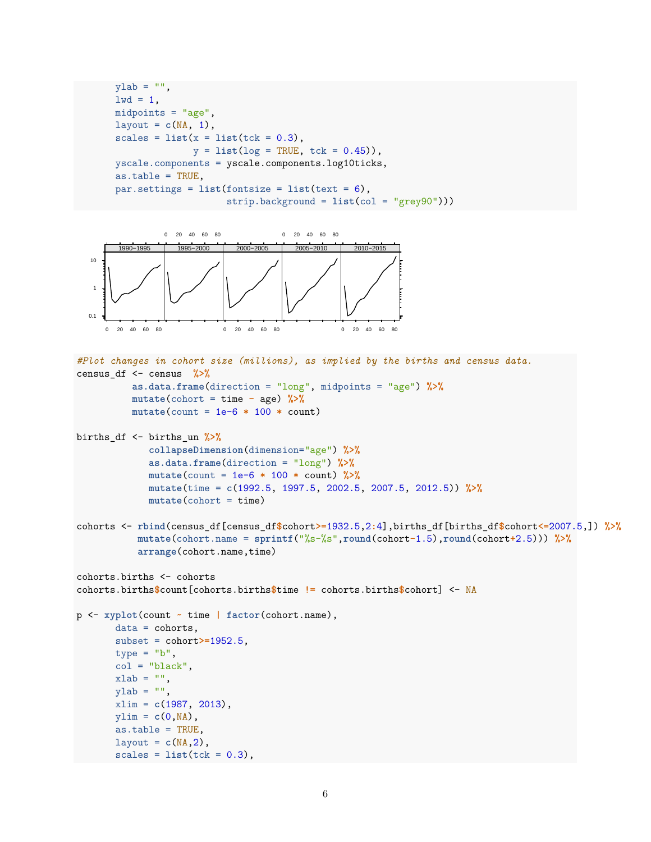```
vlab = "",
1wd = 1,
midpoints = "age",
layout = c(NA, 1),
scales = list(x = list(tck = 0.3)),
              y = list(log = TRUE, tck = 0.45),
yscale.components = yscale.components.log10ticks,
as.table = TRUE,
par.settings = list(fontsize = list(text = 6),strip.background = list(col = "grey90")))
```


```
#Plot changes in cohort size (millions), as implied by the births and census data.
census_df <- census %>%
          as.data.frame(direction = "long", midpoints = "age") %>%
         mutate(cohort = time - age) %>%
         mutate(count = 1e-6 * 100 * count)
```

```
births_df <- births_un %>%
             collapseDimension(dimension="age") %>%
             as.data.frame(direction = "long") %>%
             mutate(count = 1e-6 * 100 * count) %>%
             mutate(time = c(1992.5, 1997.5, 2002.5, 2007.5, 2012.5)) %>%
             mutate(cohort = time)
```

```
cohorts <- rbind(census_df[census_df$cohort>=1932.5,2:4],births_df[births_df$cohort<=2007.5,]) %>%
          mutate(cohort.name = sprintf("%s-%s",round(cohort-1.5),round(cohort+2.5))) %>%
          arrange(cohort.name,time)
```

```
cohorts.births <- cohorts
cohorts.births$count[cohorts.births$time != cohorts.births$cohort] <- NA
```

```
p <- xyplot(count ~ time | factor(cohort.name),
       data = cohorts,
       subset = cohort>=1952.5,
       type = "b",
       col = "black",xlab = "",
       vlab = "".
       xlim = c(1987, 2013),
       ylim = c(0, NA),
       as.table = TRUE,
```
layout =  $c(NA, 2)$ ,

 $scales = list(tck = 0.3),$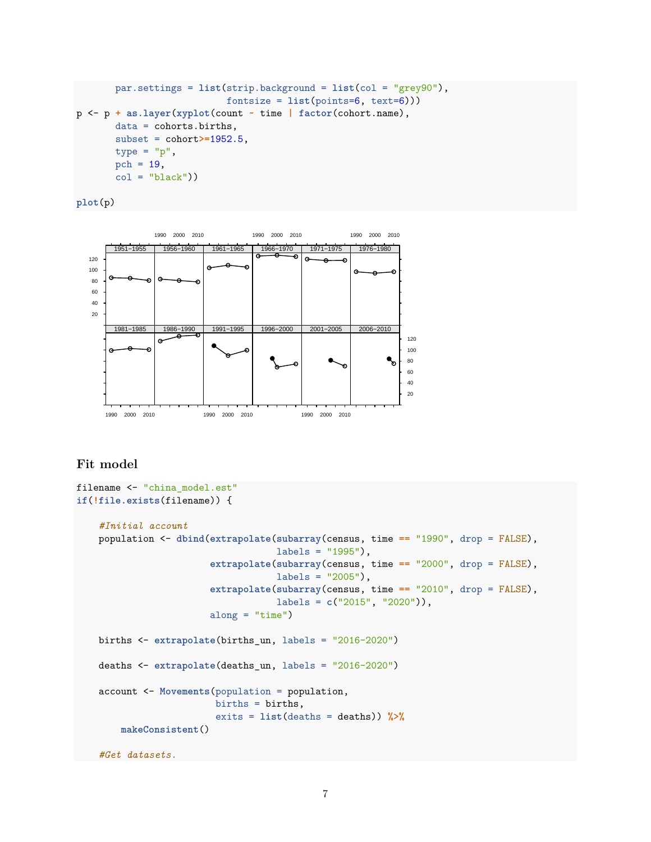```
par.settings = list(strip.background = list(col = "grey90"),
                           fontsize = list(points=6, text=6)))
p <- p + as.layer(xyplot(count ~ time | factor(cohort.name),
       data = cohorts.births,
       subset = cohort>=1952.5,
       type = "p",
       pch = 19,
       col = "black"))
```

```
plot(p)
```


## **Fit model**

```
filename <- "china model.est"
if(!file.exists(filename)) {
    #Initial account
   population <- dbind(extrapolate(subarray(census, time == "1990", drop = FALSE),
                                    labels = "1995"),
                        extrapolate(subarray(census, time == "2000", drop = FALSE),
                                    labels = "2005"),
                        extrapolate(subarray(census, time == "2010", drop = FALSE),
                                    labels = c("2015", "2020")),
                        along = "time")
   births <- extrapolate(births_un, labels = "2016-2020")
   deaths <- extrapolate(deaths_un, labels = "2016-2020")
   account <- Movements(population = population,
                         births = births,
                         exits = list(deaths = deaths)) %>%
        makeConsistent()
    #Get datasets.
```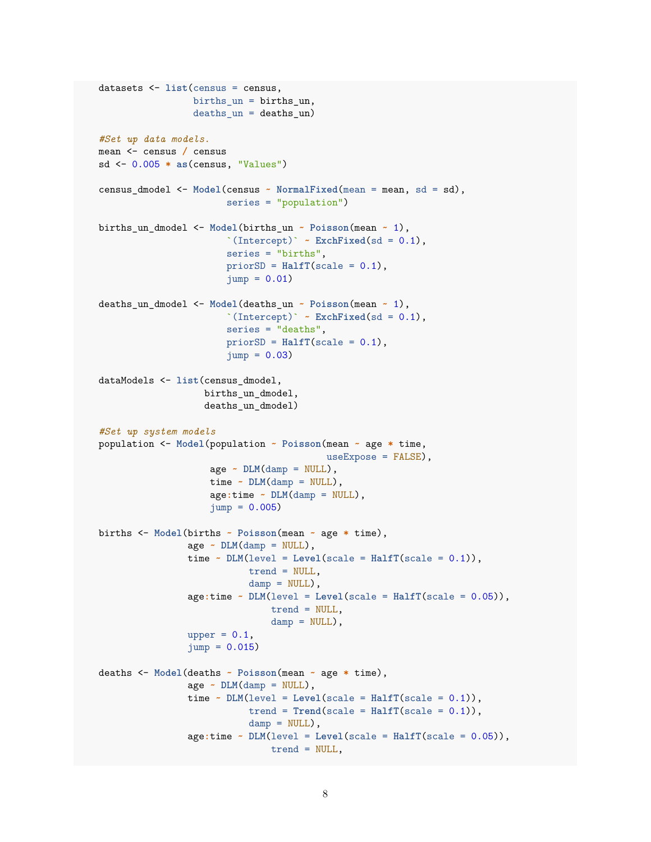```
datasets <- list(census = census,
                 births_un = births_un,
                 deaths_un = deaths_un)
#Set up data models.
mean <- census / census
sd <- 0.005 * as(census, "Values")
census_dmodel <- Model(census ~ NormalFixed(mean = mean, sd = sd),
                        series = "population")
births_un_dmodel <- Model(births_un ~ Poisson(mean ~ 1),
                        `(Intercept)` \sim ExchFixed(sd = 0.1),
                        series = "births",
                        priorSD = HalfT(scale = 0.1),
                        jump = 0.01deaths_un_dmodel <- Model(deaths_un ~ Poisson(mean ~ 1),
                        \Gamma(Intercept)\sim ExchFixed(sd = 0.1),
                        series = "deaths",
                        priorSD = HalfT(scale = 0.1),
                        jump = 0.03dataModels <- list(census_dmodel,
                   births un dmodel,
                   deaths un dmodel)
#Set up system models
population <- Model(population ~ Poisson(mean ~ age * time,
                                          useExpose = FALSE),
                     age \sim \text{DIM(damp = NULL)},time \sim DLM(damp = NULL),
                     age:time ~ DLM(damp = NULL),
                    jump = 0.005births <- Model(births ~ Poisson(mean ~ age * time),
                age - DLM(damp = NULL),time \sim DLM(level = Level(scale = HalfT(scale = 0.1)),trend = NULL,
                            damp = NULL,
                age:time ~ DLM(level = Level(scale = HalfT(scale = 0.05)),
                                trend = NULL,
                                damp = NULL,
                upper = 0.1,
                jump = 0.015deaths <- Model(deaths ~ Poisson(mean ~ age * time),
                age \sim \text{PLM}(\text{damp} = \text{NULL}),time \sim DLM(level = Level(scale = HalfT(scale = 0.1)),trend = Trend(scale = HalfT(scale = 0.1)),damp = NULL,
                age:time ~ DLM(level = Level(scale = HalfT(scale = 0.05)),
                                trend = NULL,
```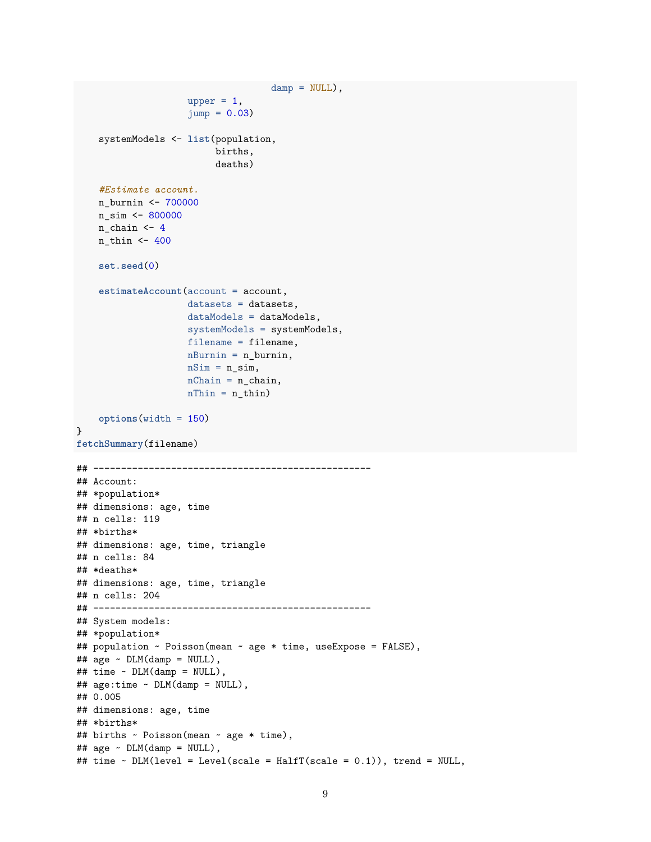```
damp = NULL,
                    upper = 1,
                    jump = 0.03systemModels <- list(population,
                         births,
                         deaths)
    #Estimate account.
    n_burnin <- 700000
    n_sim <- 800000
    n_{chain} < 4n_{th} <- 400
    set.seed(0)
    estimateAccount(account = account,
                    datasets = datasets,
                    dataModels = dataModels,
                    systemModels = systemModels,
                    filename = filename,
                    nBurnin = n_burnin,
                    nSim = n_sim,nChain = n_{chain},
                    nThin = n_thin)options(width = 150)
}
fetchSummary(filename)
## --------------------------------------------------
## Account:
## *population*
## dimensions: age, time
## n cells: 119
## *births*
## dimensions: age, time, triangle
## n cells: 84
## *deaths*
## dimensions: age, time, triangle
## n cells: 204
## --------------------------------------------------
## System models:
## *population*
## population ~ Poisson(mean ~ age * time, useExpose = FALSE),
\## age ~ DLM(damp = NULL),
## time ~ DLM(damp = NULL),
## age:time ~ DLM(damp = NULL),
## 0.005
## dimensions: age, time
## *births*
## births ~ Poisson(mean ~ age * time),
\## age ~ DLM(damp = NULL),
## time ~ DLM(level = Level(scale = HalfT(scale = 0.1)), trend = NULL,
```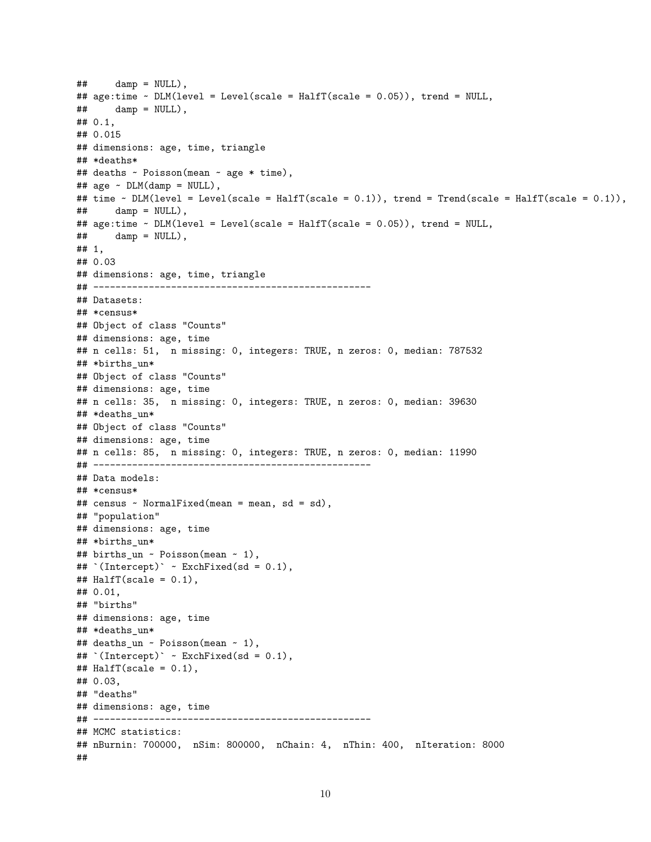```
\## damp = NULL),
## age:time ~ DLM(level = Level(scale = HalfT(scale = 0.05)), trend = NULL,
\## damp = NULL),
## 0.1,
## 0.015
## dimensions: age, time, triangle
## *deaths*
## deaths ~ Poisson(mean ~ age * time),
## age ~ DLM(damp = NULL),
## time ~ DLM(level = Level(scale = HalfT(scale = 0.1)), trend = Trend(scale = HalfT(scale = 0.1)),
\# damp = NULL),
## age:time ~ DLM(level = Level(scale = HalfT(scale = 0.05)), trend = NULL,
## damp = NULL),
## 1,
## 0.03
## dimensions: age, time, triangle
## --------------------------------------------------
## Datasets:
## *census*
## Object of class "Counts"
## dimensions: age, time
## n cells: 51, n missing: 0, integers: TRUE, n zeros: 0, median: 787532
## *births_un*
## Object of class "Counts"
## dimensions: age, time
## n cells: 35, n missing: 0, integers: TRUE, n zeros: 0, median: 39630
## *deaths_un*
## Object of class "Counts"
## dimensions: age, time
## n cells: 85, n missing: 0, integers: TRUE, n zeros: 0, median: 11990
## --------------------------------------------------
## Data models:
## *census*
## census ~ NormalFixed(mean = mean, sd = sd),
## "population"
## dimensions: age, time
## *births un*
## births_un ~ Poisson(mean ~ 1),
## `(Intercept)` ~ ExchFixed(sd = 0.1),
\texttt{\#}\# HalfT(scale = 0.1),
## 0.01,
## "births"
## dimensions: age, time
## *deaths_un*
## deaths_un ~ Poisson(mean ~ 1),
## `(Intercept)` ~ ExchFixed(sd = 0.1),
\texttt{\#}\# HalfT(scale = 0.1),
## 0.03,
## "deaths"
## dimensions: age, time
## --------------------------------------------------
## MCMC statistics:
## nBurnin: 700000, nSim: 800000, nChain: 4, nThin: 400, nIteration: 8000
##
```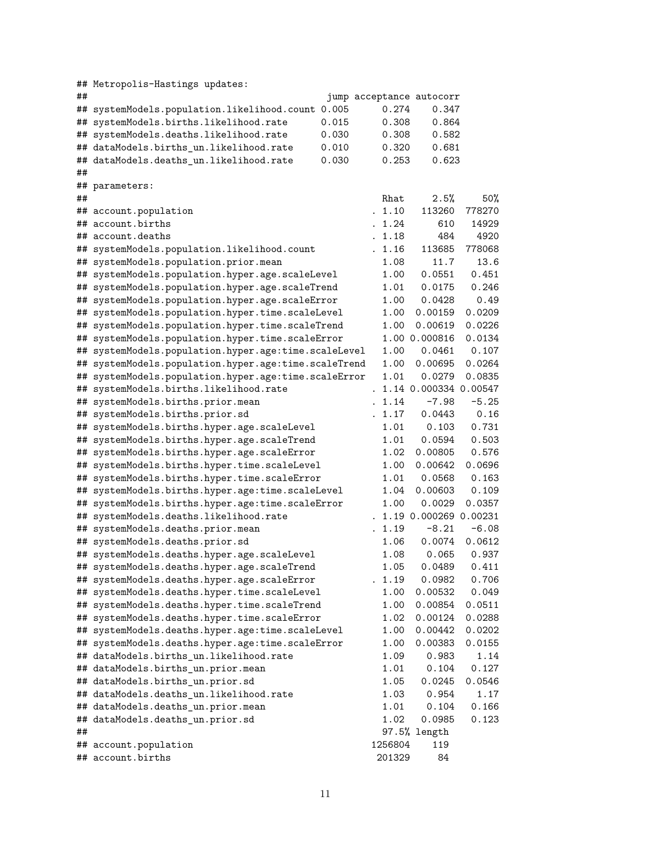| ## | ## Metropolis-Hastings updates:                      |       |         |                                   |         |
|----|------------------------------------------------------|-------|---------|-----------------------------------|---------|
|    | ## systemModels.population.likelihood.count 0.005    |       | 0.274   | jump acceptance autocorr<br>0.347 |         |
| ## | systemModels.births.likelihood.rate                  | 0.015 | 0.308   | 0.864                             |         |
|    | ## systemModels.deaths.likelihood.rate               | 0.030 | 0.308   | 0.582                             |         |
|    | ## dataModels.births_un.likelihood.rate              | 0.010 | 0.320   | 0.681                             |         |
|    | ## dataModels.deaths_un.likelihood.rate              | 0.030 | 0.253   | 0.623                             |         |
| ## |                                                      |       |         |                                   |         |
|    | ## parameters:                                       |       |         |                                   |         |
| ## |                                                      |       | Rhat    | 2.5%                              | 50%     |
|    | ## account.population                                |       | . 1.10  | 113260                            | 778270  |
|    | ## account.births                                    |       | 1.24    | 610                               | 14929   |
|    | ## account.deaths                                    |       | . 1.18  | 484                               | 4920    |
|    | ## systemModels.population.likelihood.count          |       | . 1.16  | 113685                            | 778068  |
|    | ## systemModels.population.prior.mean                |       | 1.08    | 11.7                              | 13.6    |
|    | ## systemModels.population.hyper.age.scaleLevel      |       | 1.00    | 0.0551                            | 0.451   |
|    | ## systemModels.population.hyper.age.scaleTrend      |       | 1.01    | 0.0175                            | 0.246   |
|    | ## systemModels.population.hyper.age.scaleError      |       | 1.00    | 0.0428                            | 0.49    |
|    | ## systemModels.population.hyper.time.scaleLevel     |       | 1.00    | 0.00159                           | 0.0209  |
|    | ## systemModels.population.hyper.time.scaleTrend     |       | 1.00    | 0.00619                           | 0.0226  |
|    | ## systemModels.population.hyper.time.scaleError     |       |         | 1.00 0.000816                     | 0.0134  |
|    | ## systemModels.population.hyper.age:time.scaleLevel |       | 1.00    | 0.0461                            | 0.107   |
|    | ## systemModels.population.hyper.age:time.scaleTrend |       | 1.00    | 0.00695                           | 0.0264  |
|    | ## systemModels.population.hyper.age:time.scaleError |       | 1.01    | 0.0279                            | 0.0835  |
|    | ## systemModels.births.likelihood.rate               |       |         | 1.14 0.000334 0.00547             |         |
|    | ## systemModels.births.prior.mean                    |       | 1.14    | $-7.98$                           | $-5.25$ |
|    | ## systemModels.births.prior.sd                      |       | . 1.17  | 0.0443                            | 0.16    |
|    | ## systemModels.births.hyper.age.scaleLevel          |       | 1.01    | 0.103                             | 0.731   |
|    | ## systemModels.births.hyper.age.scaleTrend          |       | 1.01    | 0.0594                            | 0.503   |
|    | ## systemModels.births.hyper.age.scaleError          |       | 1.02    | 0.00805                           | 0.576   |
|    | ## systemModels.births.hyper.time.scaleLevel         |       | 1.00    | 0.00642                           | 0.0696  |
|    | ## systemModels.births.hyper.time.scaleError         |       | 1.01    | 0.0568                            | 0.163   |
|    | ## systemModels.births.hyper.age:time.scaleLevel     |       | 1.04    | 0.00603                           | 0.109   |
|    | ## systemModels.births.hyper.age:time.scaleError     |       | 1.00    | 0.0029                            | 0.0357  |
|    | ## systemModels.deaths.likelihood.rate               |       |         | . 1.19 0.000269 0.00231           |         |
|    | ## systemModels.deaths.prior.mean                    |       | 1.19    | $-8.21$                           | $-6.08$ |
|    | ## systemModels.deaths.prior.sd                      |       | 1.06    | 0.0074                            | 0.0612  |
|    | ## systemModels.deaths.hyper.age.scaleLevel          |       | 1.08    | 0.065                             | 0.937   |
|    | ## systemModels.deaths.hyper.age.scaleTrend          |       | 1.05    | 0.0489                            | 0.411   |
|    | ## systemModels.deaths.hyper.age.scaleError          |       | 1.19    | 0.0982                            | 0.706   |
| ## | systemModels.deaths.hyper.time.scaleLevel            |       | 1.00    | 0.00532                           | 0.049   |
| ## | systemModels.deaths.hyper.time.scaleTrend            |       | 1.00    | 0.00854                           | 0.0511  |
| ## | systemModels.deaths.hyper.time.scaleError            |       | 1.02    | 0.00124                           | 0.0288  |
|    | ## systemModels.deaths.hyper.age:time.scaleLevel     |       | 1.00    | 0.00442                           | 0.0202  |
|    | ## systemModels.deaths.hyper.age:time.scaleError     |       | 1.00    | 0.00383                           | 0.0155  |
|    | ## dataModels.births_un.likelihood.rate              |       | 1.09    | 0.983                             | 1.14    |
|    | ## dataModels.births_un.prior.mean                   |       | 1.01    | 0.104                             | 0.127   |
|    | ## dataModels.births_un.prior.sd                     |       | 1.05    | 0.0245                            | 0.0546  |
|    | ## dataModels.deaths_un.likelihood.rate              |       | 1.03    | 0.954                             | 1.17    |
|    | ## dataModels.deaths_un.prior.mean                   |       | 1.01    | 0.104                             | 0.166   |
| ## | dataModels.deaths_un.prior.sd                        |       | 1.02    | 0.0985                            | 0.123   |
| ## |                                                      |       |         | 97.5% length                      |         |
|    | ## account.population                                |       | 1256804 | 119                               |         |
|    | ## account.births                                    |       | 201329  | 84                                |         |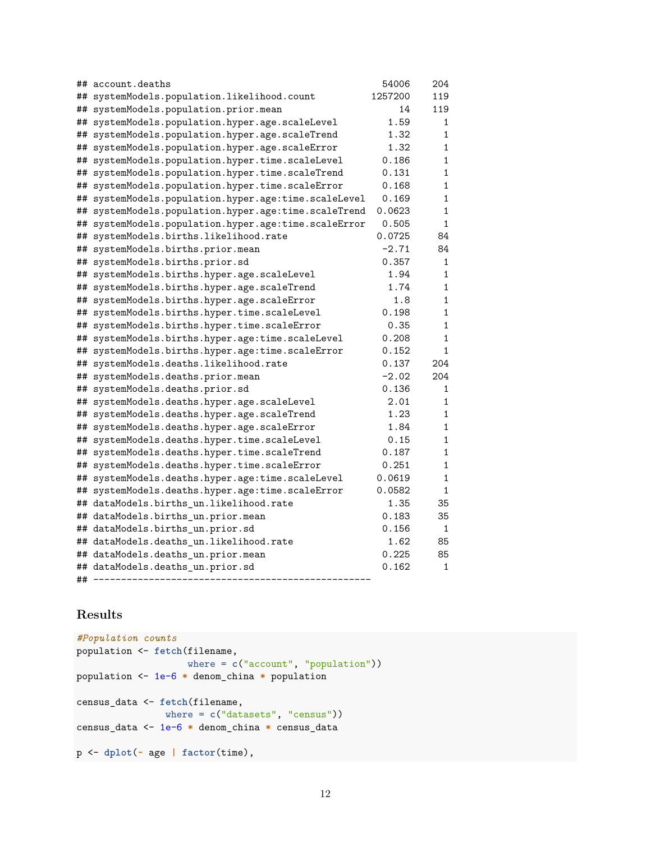|    | ## account.deaths                                 | 54006   | 204          |
|----|---------------------------------------------------|---------|--------------|
| ## | systemModels.population.likelihood.count          | 1257200 | 119          |
| ## | systemModels.population.prior.mean                | 14      | 119          |
| ## | systemModels.population.hyper.age.scaleLevel      | 1.59    | 1            |
| ## | systemModels.population.hyper.age.scaleTrend      | 1.32    | 1            |
| ## | systemModels.population.hyper.age.scaleError      | 1.32    | $\mathbf 1$  |
| ## | systemModels.population.hyper.time.scaleLevel     | 0.186   | 1            |
| ## | systemModels.population.hyper.time.scaleTrend     | 0.131   | 1            |
| ## | systemModels.population.hyper.time.scaleError     | 0.168   | 1            |
| ## | systemModels.population.hyper.age:time.scaleLevel | 0.169   | $\mathbf 1$  |
| ## | systemModels.population.hyper.age:time.scaleTrend | 0.0623  | 1            |
| ## | systemModels.population.hyper.age:time.scaleError | 0.505   | 1            |
| ## | systemModels.births.likelihood.rate               | 0.0725  | 84           |
| ## | systemModels.births.prior.mean                    | $-2.71$ | 84           |
| ## | systemModels.births.prior.sd                      | 0.357   | $\mathbf{1}$ |
| ## | systemModels.births.hyper.age.scaleLevel          | 1.94    | 1            |
| ## | systemModels.births.hyper.age.scaleTrend          | 1.74    | 1            |
| ## | systemModels.births.hyper.age.scaleError          | 1.8     | 1            |
| ## | systemModels.births.hyper.time.scaleLevel         | 0.198   | 1            |
| ## | systemModels.births.hyper.time.scaleError         | 0.35    | 1            |
| ## | systemModels.births.hyper.age:time.scaleLevel     | 0.208   | 1            |
| ## | systemModels.births.hyper.age:time.scaleError     | 0.152   | 1            |
| ## | systemModels.deaths.likelihood.rate               | 0.137   | 204          |
| ## | systemModels.deaths.prior.mean                    | $-2.02$ | 204          |
| ## | systemModels.deaths.prior.sd                      | 0.136   | 1            |
| ## | systemModels.deaths.hyper.age.scaleLevel          | 2.01    | 1            |
| ## | systemModels.deaths.hyper.age.scaleTrend          | 1.23    | 1            |
| ## | systemModels.deaths.hyper.age.scaleError          | 1.84    | 1            |
| ## | systemModels.deaths.hyper.time.scaleLevel         | 0.15    | 1            |
| ## | systemModels.deaths.hyper.time.scaleTrend         | 0.187   | 1            |
| ## | systemModels.deaths.hyper.time.scaleError         | 0.251   | 1            |
| ## | systemModels.deaths.hyper.age:time.scaleLevel     | 0.0619  | 1            |
| ## | systemModels.deaths.hyper.age:time.scaleError     | 0.0582  | 1            |
|    | ## dataModels.births_un.likelihood.rate           | 1.35    | 35           |
| ## | dataModels.births_un.prior.mean                   | 0.183   | 35           |
|    | ## dataModels.births_un.prior.sd                  | 0.156   | 1            |
|    | ## dataModels.deaths_un.likelihood.rate           | 1.62    | 85           |
|    | ## dataModels.deaths_un.prior.mean                | 0.225   | 85           |
|    | ## dataModels.deaths_un.prior.sd                  | 0.162   | $\mathbf{1}$ |
| ## |                                                   |         |              |

## **Results**

```
#Population counts
population <- fetch(filename,
                   where = c("account", "population"))
population <- 1e-6 * denom_china * population
census_data <- fetch(filename,
               where = c("datasets", "census"))
census_data <- 1e-6 * denom_china * census_data
p <- dplot(~ age | factor(time),
```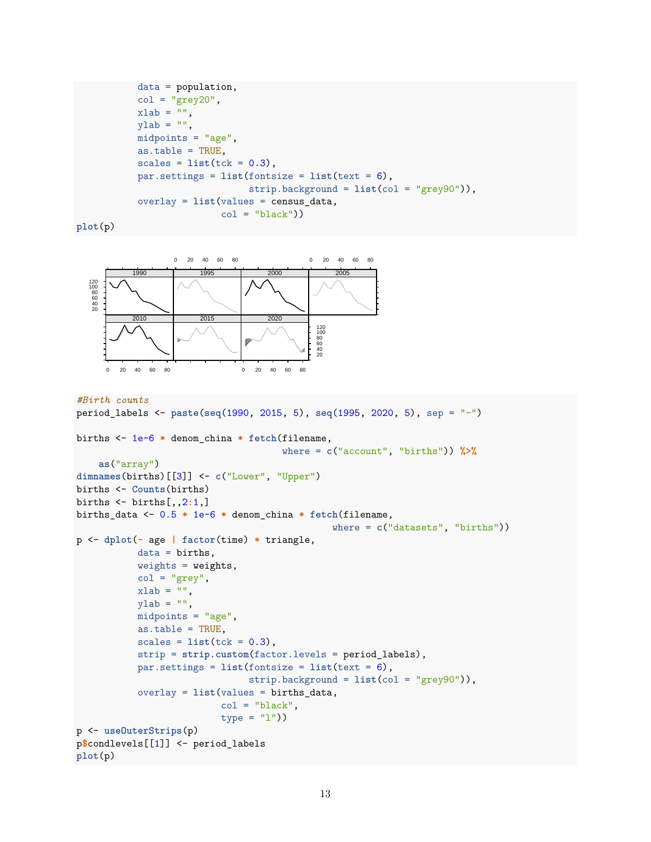```
data = population,
col = "grey20",xlab = "",
ylab = "",
midpoints = "age",
as.table = TRUE,
scales = list(tck = 0.3),par.settings = list(fontsize = list(text = 6),
                    strip.background = list(col = "grey90")),
overlay = list(values = census_data,
               col = "black"))
```

```
plot(p)
```


```
#Birth counts
```

```
period_labels <- paste(seq(1990, 2015, 5), seq(1995, 2020, 5), sep = "-")
births <- 1e-6 * denom_china * fetch(filename,
                                     where = c("account", "births")) %>%
    as("array")
dimnames(births)[[3]] <- c("Lower", "Upper")
births <- Counts(births)
births <- births[,,2:1,]
births_data <- 0.5 * 1e-6 * denom_china * fetch(filename,
                                              where = c("datasets", "births"))
p <- dplot(~ age | factor(time) * triangle,
           data = births,
           weights = weights,col = "grey",xlab = "",
           ylab = "",
           midpoints = "age",
           as.table = TRUE,
           scales = list(tck = 0.3),
           strip = strip.custom(factor.levels = period_labels),
           par.settings = list(fontsize = list(text = 6),
                               strip.background = list(col = "grey90")),
           overlay = list(values = births_data,
                          col = "black",type = "1")p <- useOuterStrips(p)
p$condlevels[[1]] <- period_labels
plot(p)
```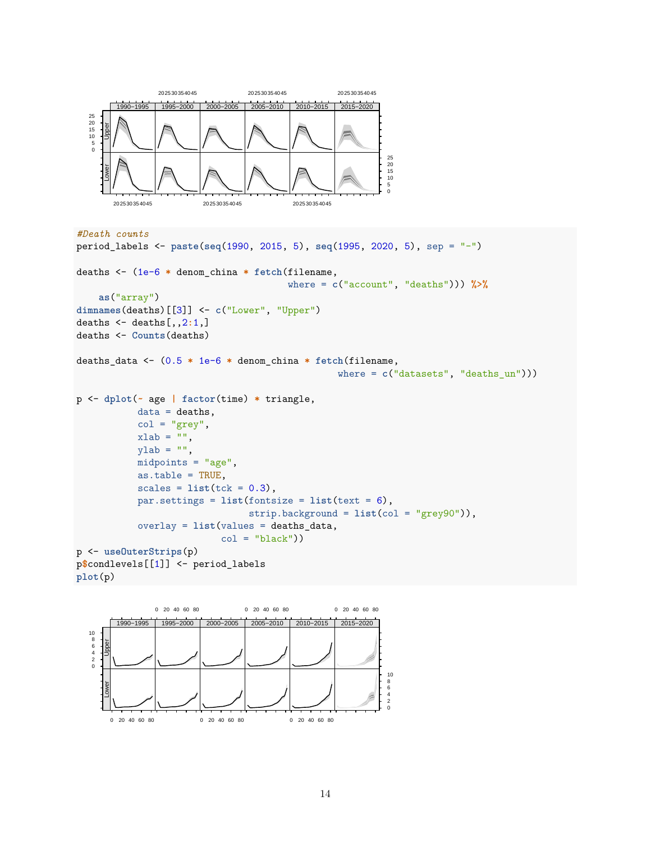

```
#Death counts
```

```
period_labels <- paste(seq(1990, 2015, 5), seq(1995, 2020, 5), sep = "-")
deaths <- (1e-6 * denom_china * fetch(filename,
                                      where = c("account", "deaths"))) %>%
    as("array")
dimnames(deaths)[[3]] <- c("Lower", "Upper")
deaths <- deaths[,,2:1,]
deaths <- Counts(deaths)
deaths_data <- (0.5 * 1e-6 * denom_china * fetch(filename,
                                               where = c("datasets", "deaths_un")))
p <- dplot(~ age | factor(time) * triangle,
           data = deaths,col = "grey",xlab = "",
           ylab = "",
           midpoints = "age",
           as.table = TRUE,
           scales = list(tck = 0.3),par.settings = list(fontsize = list(text = 6),
                               strip.background = list(col = "grey90")),
           overlay = list(values = deaths_data,
                          col = "black"))
p <- useOuterStrips(p)
p$condlevels[[1]] <- period_labels
plot(p)
```
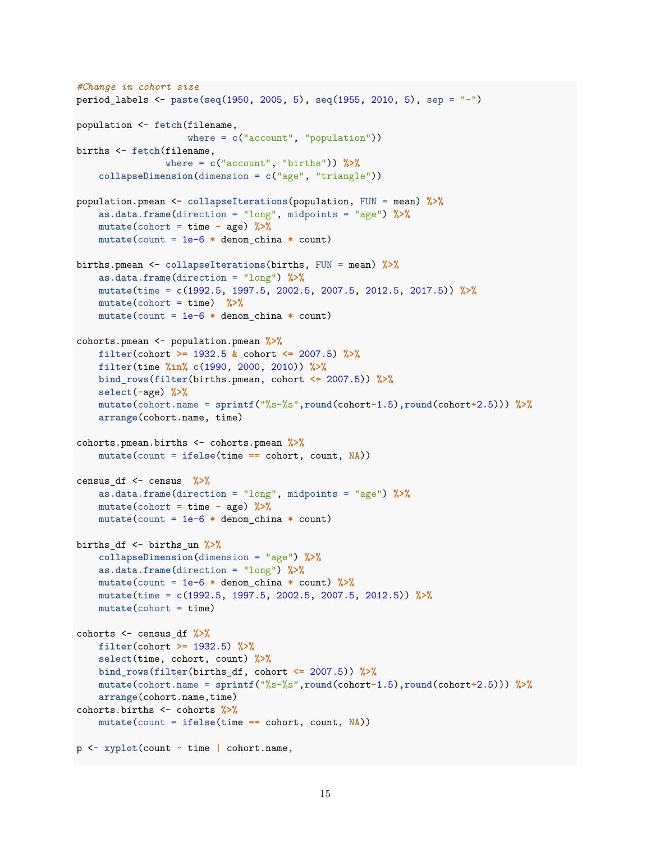```
#Change in cohort size
period_labels <- paste(seq(1950, 2005, 5), seq(1955, 2010, 5), sep = "-")
population <- fetch(filename,
                    where = c("account", "population"))
births <- fetch(filename,
                where = c("account", "births")) %>%
    collapseDimension(dimension = c("age", "triangle"))
population.pmean <- collapseIterations(population, FUN = mean) %>%
    as.data.frame(direction = "long", midpoints = "age") %>%
    mutate(cohort = time - age) %>%
    mutate(count = 1e-6 * denom_china * count)
births.pmean <- collapseIterations(births, FUN = mean) %>%
    as.data.frame(direction = "long") %>%
    mutate(time = c(1992.5, 1997.5, 2002.5, 2007.5, 2012.5, 2017.5)) %>%
    mutate(cohort = time) %>%
    mutate(count = 1e-6 * denom_china * count)
cohorts.pmean <- population.pmean %>%
    filter(cohort >= 1932.5 & cohort <= 2007.5) %>%
    filter(time %in% c(1990, 2000, 2010)) %>%
   bind_rows(filter(births.pmean, cohort <= 2007.5)) %>%
    select(-age) %>%
    mutate(cohort.name = sprintf("%s-%s",round(cohort-1.5),round(cohort+2.5))) %>%
    arrange(cohort.name, time)
cohorts.pmean.births <- cohorts.pmean %>%
    mutate(count = ifelse(time == cohort, count, NA))
census_df <- census %>%
    as.data.frame(direction = "long", midpoints = "age") %>%
    mutate(cohort = time - age) %>%
    mutate(count = 1e-6 * denom_china * count)
births_df <- births_un %>%
    collapseDimension(dimension = "age") %>%
    as.data.frame(direction = "long") %>%
    mutate(count = 1e-6 * denom_china * count) %>%
    mutate(time = c(1992.5, 1997.5, 2002.5, 2007.5, 2012.5)) %>%
    mutate(cohort = time)
cohorts <- census_df %>%
    filter(cohort >= 1932.5) %>%
    select(time, cohort, count) %>%
    bind_rows(filter(births_df, cohort <= 2007.5)) %>%
    mutate(cohort.name = sprintf("%s-%s",round(cohort-1.5),round(cohort+2.5))) %>%
    arrange(cohort.name,time)
cohorts.births <- cohorts %>%
    mutate(count = ifelse(time == cohort, count, NA))
p <- xyplot(count ~ time | cohort.name,
```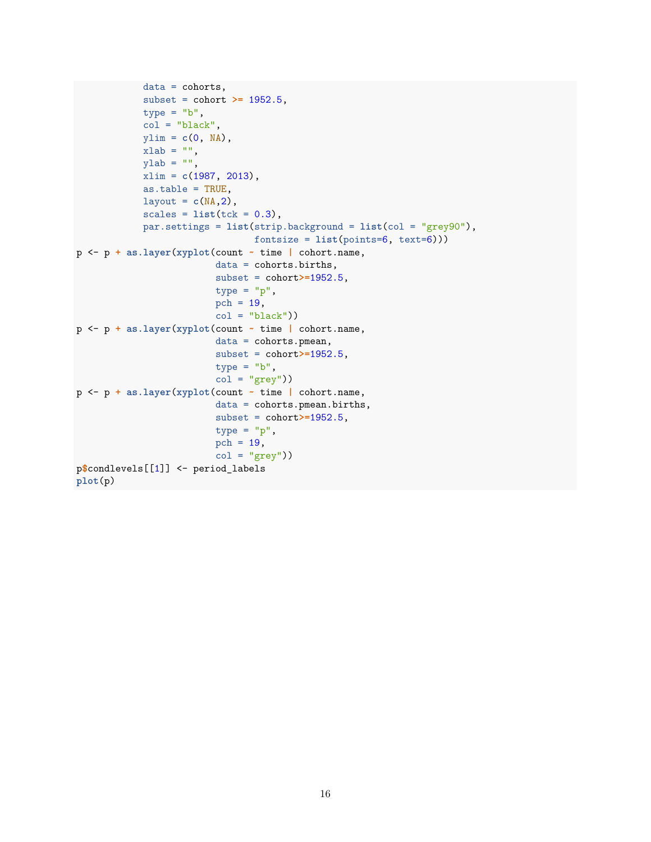```
data = cohorts,
            subset = cohort >= 1952.5,
            type = "b",col = "black",ylim = c(0, NA),
            xlab = "",
            ylab = "",
            xlim = c(1987, 2013),
            as.table = TRUE,
            layout = c(NA,2),
            scales = list(tck = 0.3),par.settings = list(strip.background = list(col = "grey90"),
                                fontsize = list(points=6, text=6)))
p <- p + as.layer(xyplot(count ~ time | cohort.name,
                         data = cohorts.births,
                         subset = cohort>=1952.5,
                         type = "p",
                         pch = 19,
                         col = "black"))
p <- p + as.layer(xyplot(count ~ time | cohort.name,
                         data = cohorts.pmean,
                         subset = cohort>=1952.5,
                         type = "b",
                         col = "grey")p <- p + as.layer(xyplot(count ~ time | cohort.name,
                         data = cohorts.pmean.births,
                         subset = cohort>=1952.5,
                         type = "p",
                         pch = 19,
                         col = "grey")p$condlevels[[1]] <- period_labels
plot(p)
```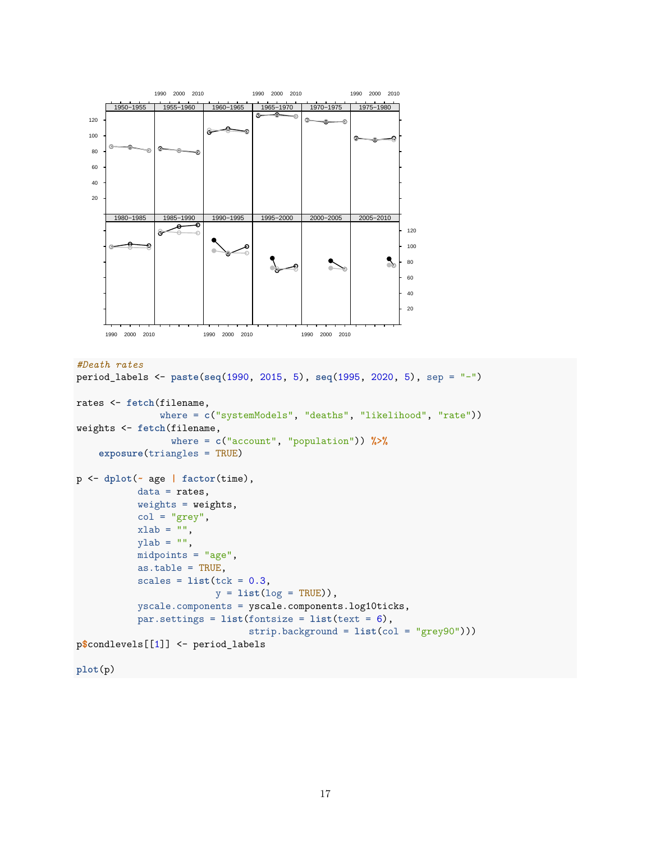

```
#Death rates
```

```
period_labels <- paste(seq(1990, 2015, 5), seq(1995, 2020, 5), sep = "-")
rates <- fetch(filename,
               where = c("systemModels", "deaths", "likelihood", "rate"))
weights <- fetch(filename,
                 where = c("account", "population")) %>%
    exposure(triangles = TRUE)
p <- dplot(~ age | factor(time),
          data = rates,weights = weights,col = "grey",xlab = "",
          ylab = "",
           midpoints = "age",as.table = TRUE,
           scales = list(tck = 0.3,y = list(log = TRUE),
           yscale.components = yscale.components.log10ticks,
           par.settings = list(fontsize = list(text = 6),strip.background = list(col = "grey90")))
p$condlevels[[1]] <- period_labels
```

```
plot(p)
```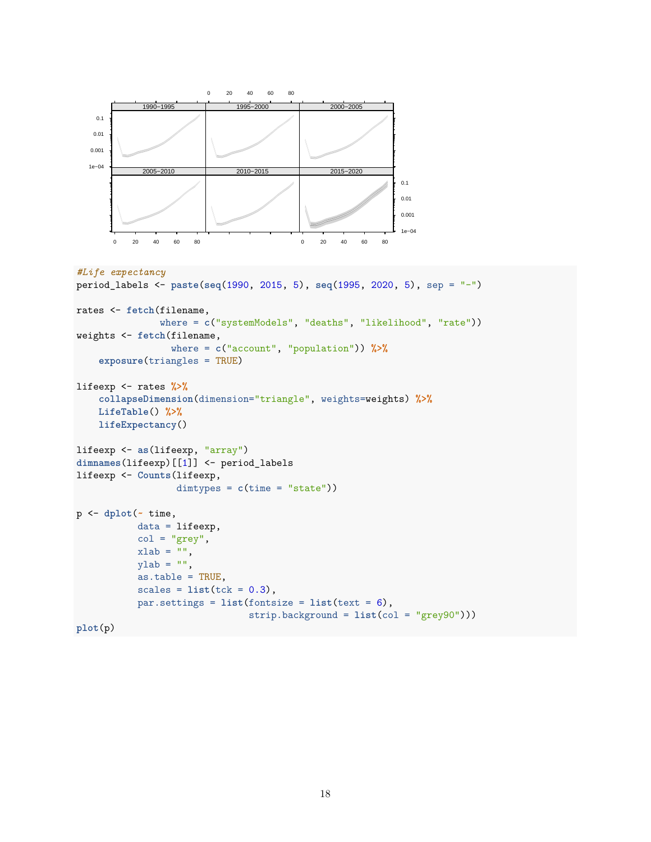

```
#Life expectancy
period_labels <- paste(seq(1990, 2015, 5), seq(1995, 2020, 5), sep = "-")
rates <- fetch(filename,
               where = c("systemModels", "deaths", "likelihood", "rate"))
weights <- fetch(filename,
                 where = c("account", "population")) %>%
    exposure(triangles = TRUE)
lifeexp <- rates %>%
    collapseDimension(dimension="triangle", weights=weights) %>%
    LifeTable() %>%
   lifeExpectancy()
lifeexp <- as(lifeexp, "array")
dimnames(lifeexp)[[1]] <- period_labels
lifeexp <- Counts(lifeexp,
                  dimtypes = c(time = "state"))
p <- dplot(~ time,
           data = lifeexp,
           col = "grey",xlab = "",
           ylab = "",
           as.table = TRUE,
```
par.settings = **list**(fontsize = **list**(text = 6),

 $scales = list(tck = 0.3),$ 

```
plot(p)
```
strip.background = **list**(col = "grey90")))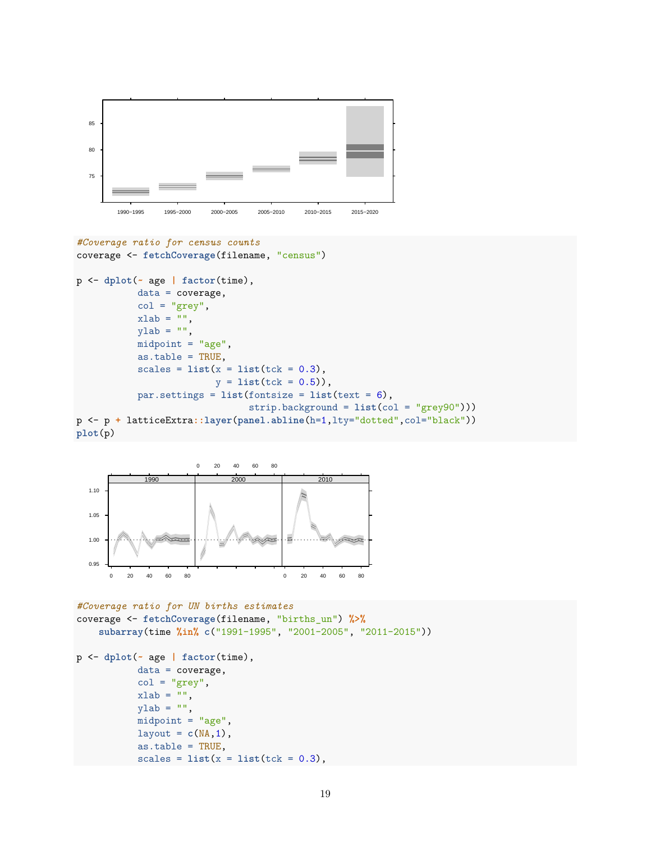

```
#Coverage ratio for census counts
coverage <- fetchCoverage(filename, "census")
```

```
p <- dplot(~ age | factor(time),
           data = coverage,
           col = "grey",xlab = "",
           ylab = "",
           midpoint = "age",
           as.table = TRUE,
           scales = list(x = list(tck = 0.3)),y = list(tck = 0.5),
           par.settings = list(fontsize = list(text = 6),
                               strip.background = list(col = "grey90")))
p <- p + latticeExtra::layer(panel.abline(h=1,lty="dotted",col="black"))
plot(p)
```


```
#Coverage ratio for UN births estimates
coverage <- fetchCoverage(filename, "births_un") %>%
    subarray(time %in% c("1991-1995", "2001-2005", "2011-2015"))
p <- dplot(~ age | factor(time),
           data = coverage,
           col = "grey",xlab = "",
           ylab = "",
           midpoint = "age",layout = c(NA,1),
           as.table = TRUE,
           scales = list(x = list(tck = 0.3),
```